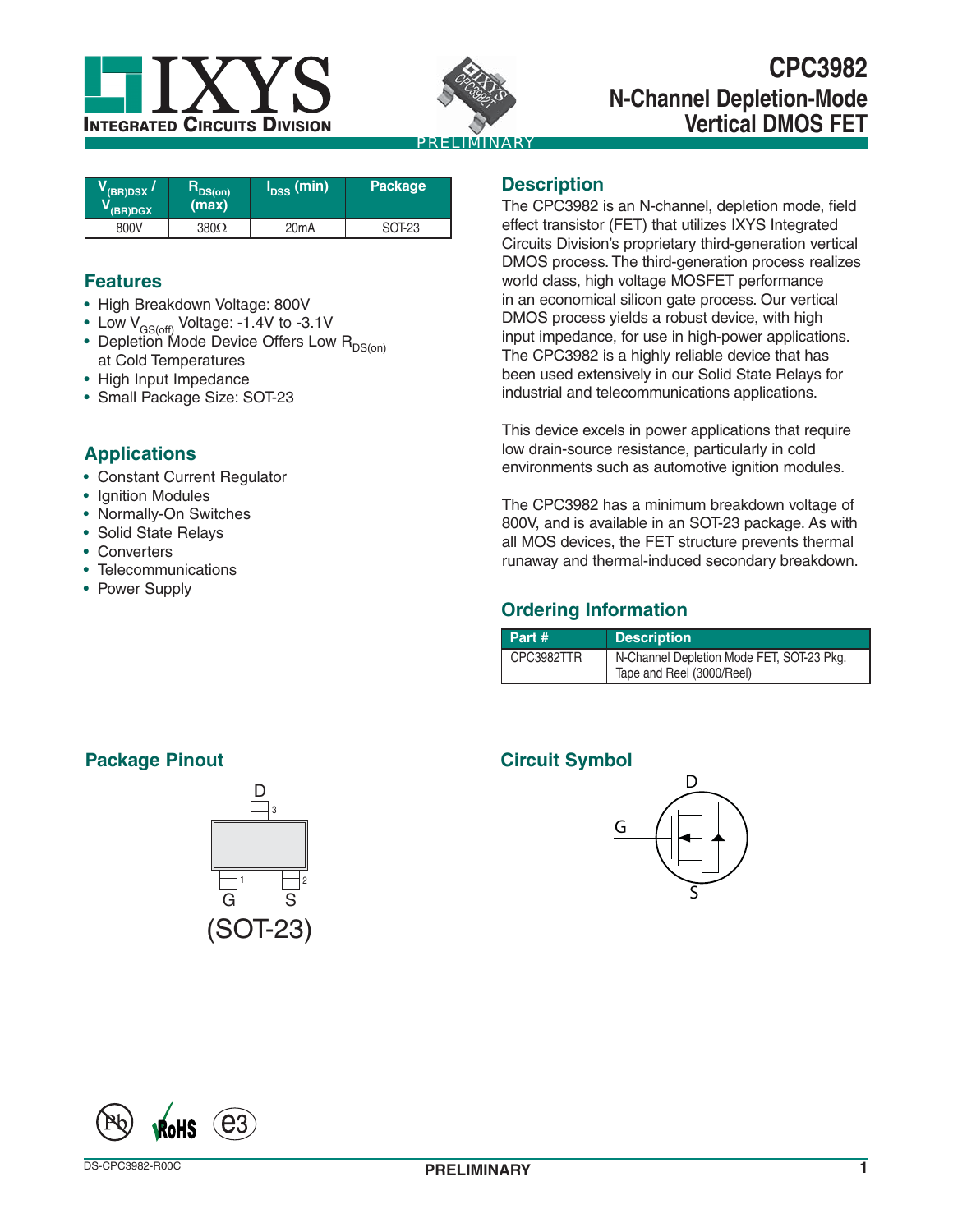



# **CPC3982 N-Channel Depletion-Mode Vertical DMOS FET**

| $V_{\rm (BR)DSX}$ /<br>$V$ (BR)DGX | $R_{DS(on)}$<br>(max) | I <sub>DSS</sub> (min) | Package |
|------------------------------------|-----------------------|------------------------|---------|
| 800V                               | $380\Omega$           | 20 <sub>m</sub> A      | SOT-23  |

## **Features**

- High Breakdown Voltage: 800V
- Low  $V_{GS(off)}$  Voltage: -1.4V to -3.1V
- Depletion Mode Device Offers Low  $R_{DS(on)}$ at Cold Temperatures
- High Input Impedance
- Small Package Size: SOT-23

## **Applications**

- Constant Current Regulator
- Ignition Modules
- Normally-On Switches
- Solid State Relays
- Converters
- Telecommunications
- Power Supply

## **Description**

The CPC3982 is an N-channel, depletion mode, field effect transistor (FET) that utilizes IXYS Integrated Circuits Division's proprietary third-generation vertical DMOS process. The third-generation process realizes world class, high voltage MOSFET performance in an economical silicon gate process. Our vertical DMOS process yields a robust device, with high input impedance, for use in high-power applications. The CPC3982 is a highly reliable device that has been used extensively in our Solid State Relays for industrial and telecommunications applications.

This device excels in power applications that require low drain-source resistance, particularly in cold environments such as automotive ignition modules.

The CPC3982 has a minimum breakdown voltage of 800V, and is available in an SOT-23 package. As with all MOS devices, the FET structure prevents thermal runaway and thermal-induced secondary breakdown.

## **Ordering Information**

| Part#      | <b>Description</b>                                                     |
|------------|------------------------------------------------------------------------|
| CPC3982TTR | N-Channel Depletion Mode FET, SOT-23 Pkg.<br>Tape and Reel (3000/Reel) |

## **Circuit Symbol**



# **Package Pinout**



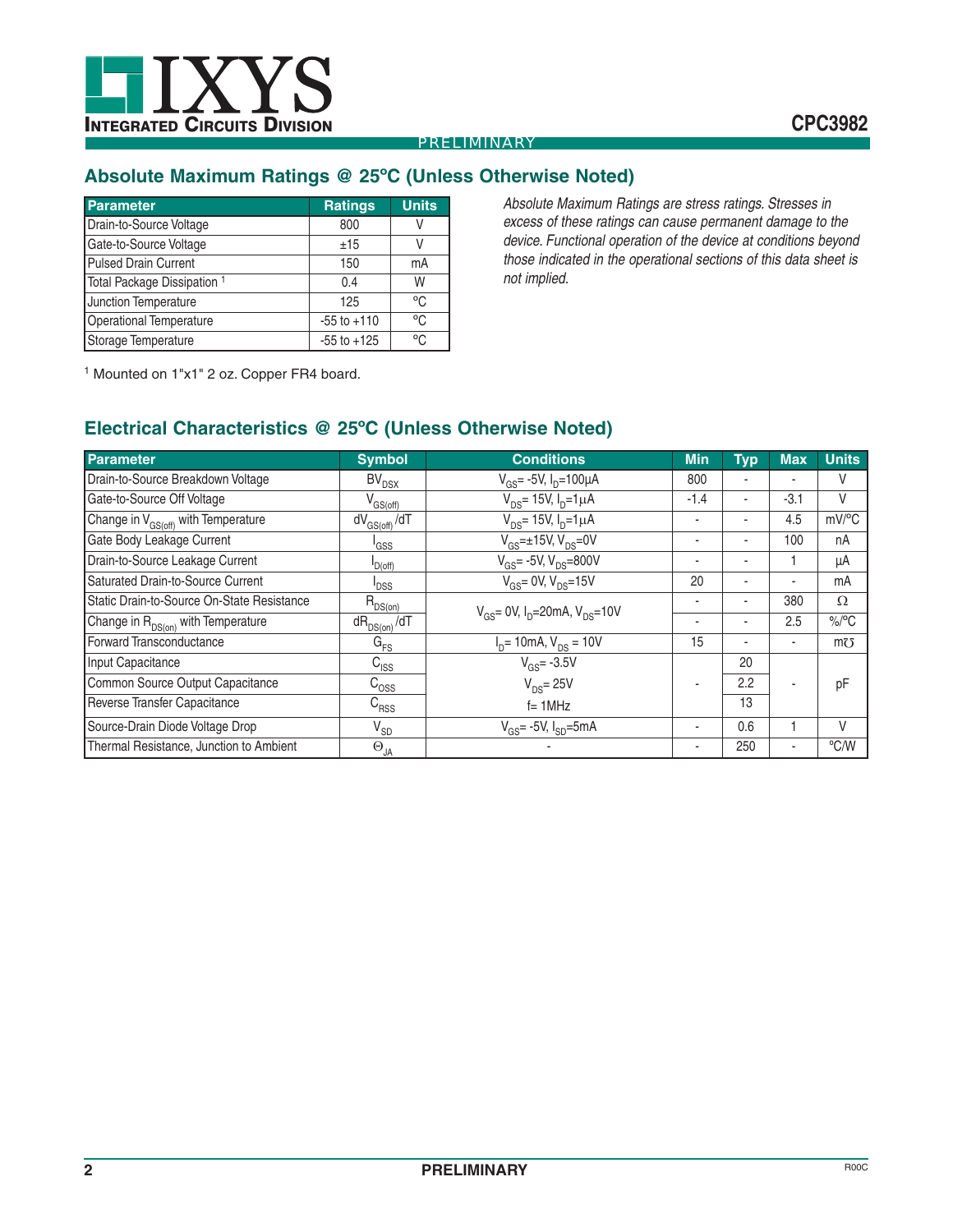

## **Absolute Maximum Ratings @ 25ºC (Unless Otherwise Noted)**

| <b>Parameter</b>                       | <b>Ratings</b>  | <b>Units</b> |
|----------------------------------------|-----------------|--------------|
| Drain-to-Source Voltage                | 800             | V            |
| Gate-to-Source Voltage                 | ±15             | V            |
| <b>Pulsed Drain Current</b>            | 150             | mA           |
| Total Package Dissipation <sup>1</sup> | 0.4             | W            |
| Junction Temperature                   | 125             | °C           |
| <b>Operational Temperature</b>         | $-55$ to $+110$ | °C           |
| Storage Temperature                    | $-55$ to $+125$ | °C           |

*Absolute Maximum Ratings are stress ratings. Stresses in excess of these ratings can cause permanent damage to the device. Functional operation of the device at conditions beyond those indicated in the operational sections of this data sheet is not implied.*

1 Mounted on 1"x1" 2 oz. Copper FR4 board.

## **Electrical Characteristics @ 25ºC (Unless Otherwise Noted)**

| <b>Parameter</b>                                | <b>Symbol</b>       | <b>Conditions</b>                                                  | <b>Min</b>               | <b>Typ</b> | <b>Max</b>               | <b>Units</b> |
|-------------------------------------------------|---------------------|--------------------------------------------------------------------|--------------------------|------------|--------------------------|--------------|
| Drain-to-Source Breakdown Voltage               | $BV_{DSX}$          | $V_{GS}$ - 5V, $I_{D}$ = 100µA                                     | 800                      |            |                          | V            |
| Gate-to-Source Off Voltage                      | $V_{GS(off)}$       | $V_{DS}$ = 15V, $I_{D}$ =1 $\mu$ A                                 | $-1.4$                   |            | $-3.1$                   | V            |
| Change in V <sub>GS(off)</sub> with Temperature | $dV_{GS(off)} / dT$ | $V_{DS}$ = 15V, $I_{D}$ =1 $\mu$ A                                 | ٠                        |            | 4.5                      | mV/°C        |
| Gate Body Leakage Current                       | <sup>I</sup> GSS    | $V_{\text{GS}} = \pm 15V$ , $V_{\text{DS}} = 0V$                   | ۰                        |            | 100                      | nA           |
| Drain-to-Source Leakage Current                 | D(off)              | $V_{GS}$ = -5V, $V_{DS}$ = 800V                                    | ٠                        |            |                          | μA           |
| Saturated Drain-to-Source Current               | <sup>I</sup> DSS    | $V_{\text{GS}} = 0V, V_{\text{DS}} = 15V$                          | 20                       | ٠          | $\blacksquare$           | mA           |
| Static Drain-to-Source On-State Resistance      | $R_{DS(on)}$        | $V_{\text{GS}}$ = 0V, $I_{\text{D}}$ = 20mA, $V_{\text{DS}}$ = 10V | ٠                        | ٠          | 380                      | $\Omega$     |
| Change in R <sub>DS(on)</sub> with Temperature  | $dR_{DS(on)}/dT$    |                                                                    | $\overline{\phantom{a}}$ |            | 2.5                      | $\%$ /°C     |
| Forward Transconductance                        | $G_{FS}$            | $I_{D}$ = 10mA, $V_{DS}$ = 10V                                     | 15                       | ۰          | $\blacksquare$           | $m\bar{c}$   |
| Input Capacitance                               | $C_{\text{ISS}}$    | $V_{GS} = -3.5V$                                                   |                          | 20         |                          |              |
| Common Source Output Capacitance                | $C_{\rm OSS}$       | $V_{DS}$ = 25V                                                     | ٠                        | 2.2        | $\overline{\phantom{a}}$ | pF           |
| Reverse Transfer Capacitance                    | $C_{RSS}$           | $f = 1$ MHz                                                        |                          | 13         |                          |              |
| Source-Drain Diode Voltage Drop                 | $V_{SD}$            | $V_{\text{c}e}$ = -5V, $I_{\text{sn}}$ =5mA                        | ۰                        | 0.6        |                          | V            |
| Thermal Resistance, Junction to Ambient         | $\Theta_{JA}$       |                                                                    | ۰                        | 250        | $\blacksquare$           | °C/W         |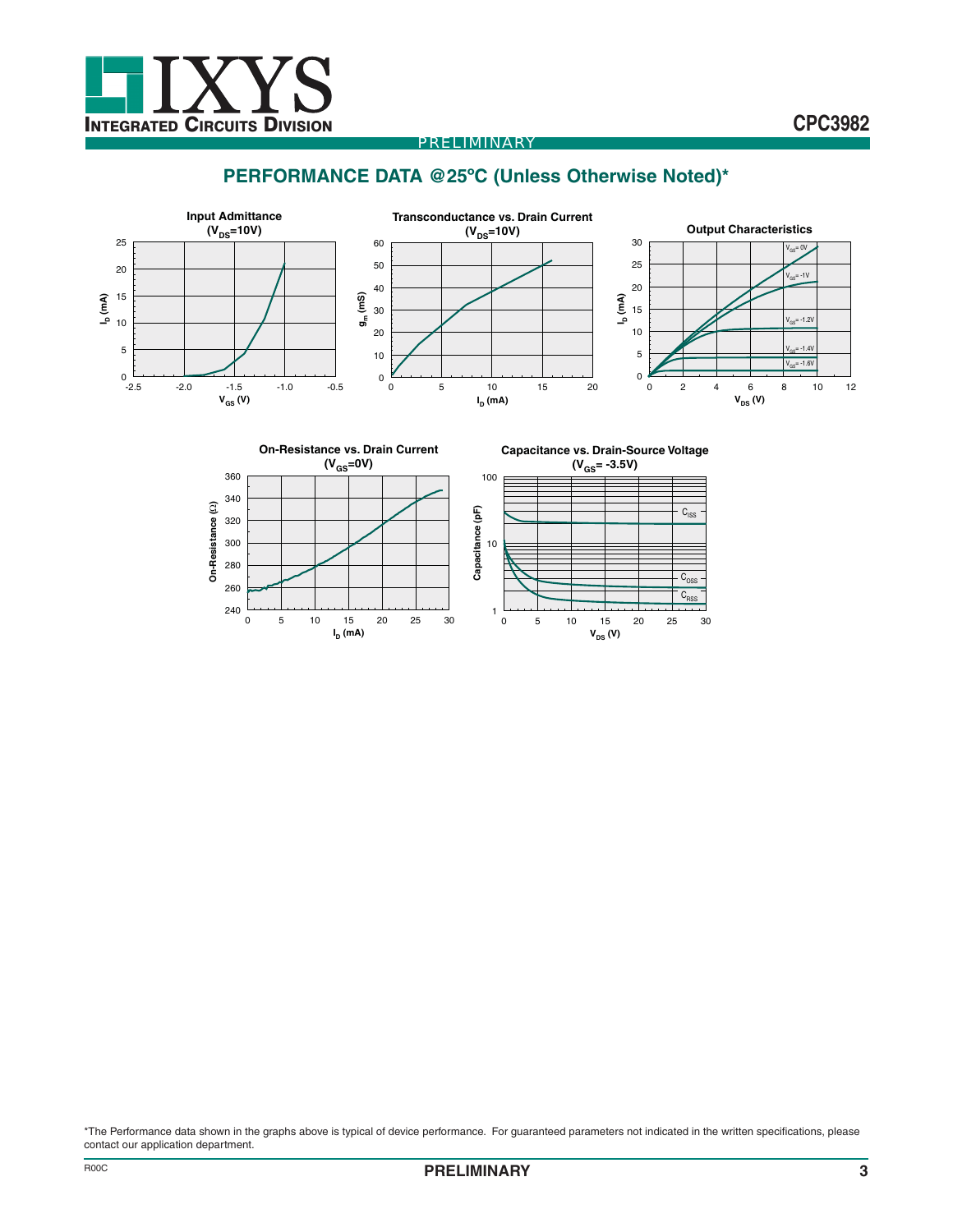

## **PERFORMANCE DATA @25ºC (Unless Otherwise Noted)\***





\*The Performance data shown in the graphs above is typical of device performance. For guaranteed parameters not indicated in the written specifications, please contact our application department.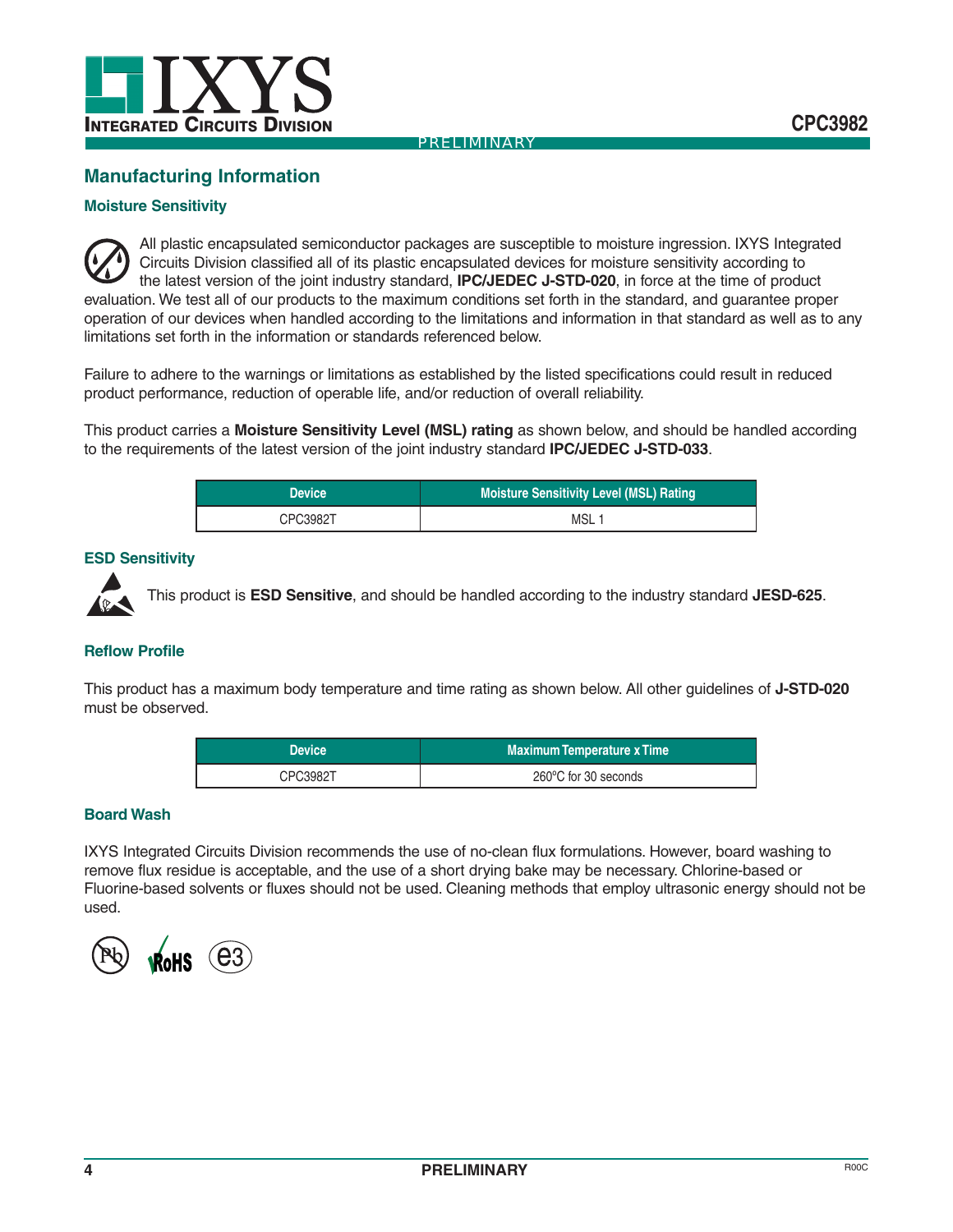

## **Manufacturing Information**

#### **Moisture Sensitivity**

All plastic encapsulated semiconductor packages are susceptible to moisture ingression. IXYS Integrated Circuits Division classified all of its plastic encapsulated devices for moisture sensitivity according to the latest version of the joint industry standard, **IPC/JEDEC J-STD-020**, in force at the time of product evaluation. We test all of our products to the maximum conditions set forth in the standard, and guarantee proper operation of our devices when handled according to the limitations and information in that standard as well as to any limitations set forth in the information or standards referenced below.

Failure to adhere to the warnings or limitations as established by the listed specifications could result in reduced product performance, reduction of operable life, and/or reduction of overall reliability.

This product carries a **Moisture Sensitivity Level (MSL) rating** as shown below, and should be handled according to the requirements of the latest version of the joint industry standard **IPC/JEDEC J-STD-033**.

| <b>Device</b> | <b>Moisture Sensitivity Level (MSL) Rating</b> |
|---------------|------------------------------------------------|
| CPC3982T      | MSL                                            |

#### **ESD Sensitivity**



This product is **ESD Sensitive**, and should be handled according to the industry standard **JESD-625**.

#### **Reflow Profile**

This product has a maximum body temperature and time rating as shown below. All other guidelines of **J-STD-020** must be observed.

| <b>Device</b> | <b>Maximum Temperature x Time</b> |
|---------------|-----------------------------------|
| CPC3982T      | 260°C for 30 seconds              |

#### **Board Wash**

IXYS Integrated Circuits Division recommends the use of no-clean flux formulations. However, board washing to remove flux residue is acceptable, and the use of a short drying bake may be necessary. Chlorine-based or Fluorine-based solvents or fluxes should not be used. Cleaning methods that employ ultrasonic energy should not be used.